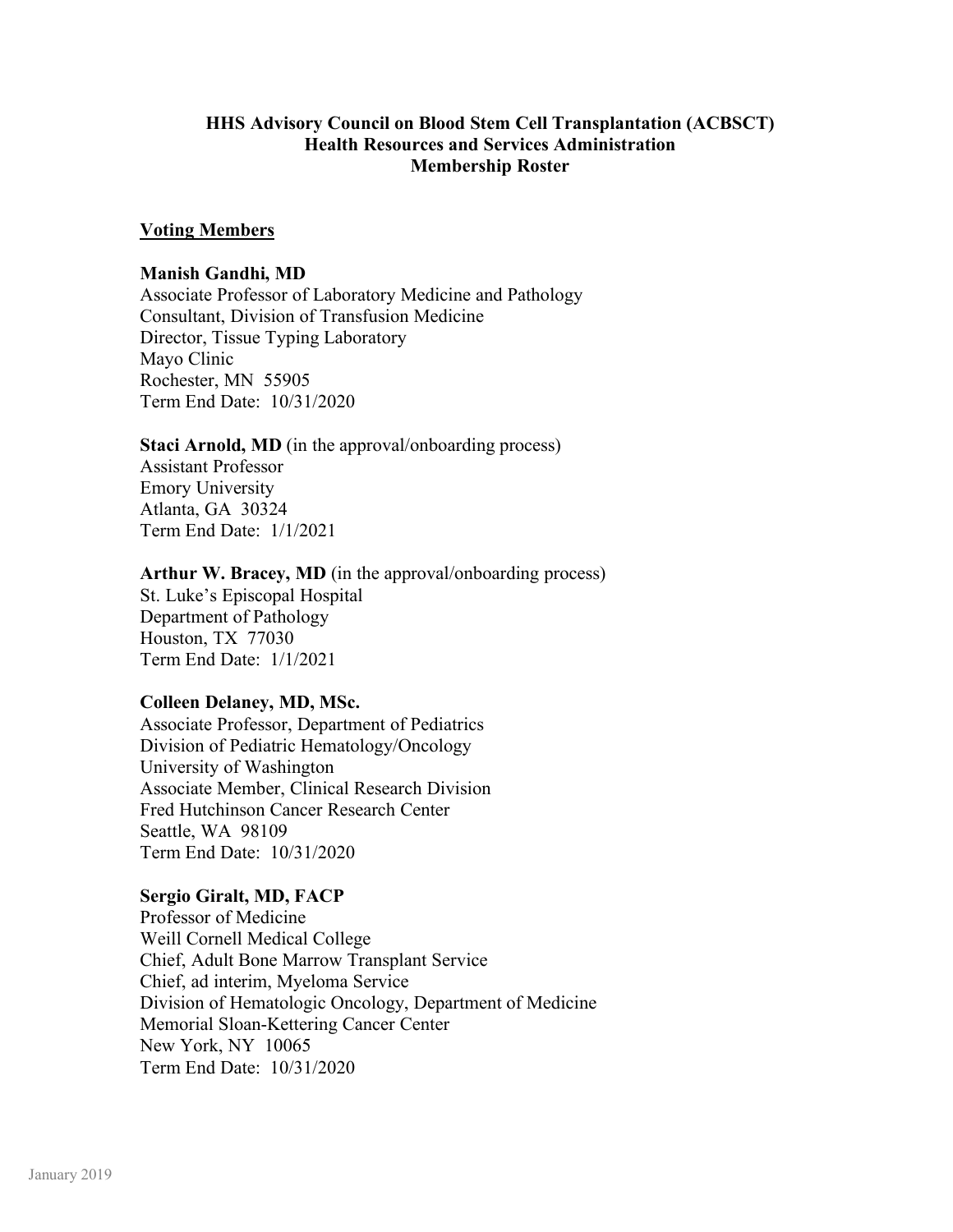## **HHS Advisory Council on Blood Stem Cell Transplantation (ACBSCT) Health Resources and Services Administration Membership Roster**

### **Voting Members**

#### **Manish Gandhi, MD**

Associate Professor of Laboratory Medicine and Pathology Consultant, Division of Transfusion Medicine Director, Tissue Typing Laboratory Mayo Clinic Rochester, MN 55905 Term End Date: 10/31/2020

### **Staci Arnold, MD** (in the approval/onboarding process)

Assistant Professor Emory University Atlanta, GA 30324 Term End Date: 1/1/2021

### **Arthur W. Bracey, MD** (in the approval/onboarding process)

St. Luke's Episcopal Hospital Department of Pathology Houston, TX 77030 Term End Date: 1/1/2021

### **Colleen Delaney, MD, MSc.**

Associate Professor, Department of Pediatrics Division of Pediatric Hematology/Oncology University of Washington Associate Member, Clinical Research Division Fred Hutchinson Cancer Research Center Seattle, WA 98109 Term End Date: 10/31/2020

### **Sergio Giralt, MD, FACP**

Professor of Medicine Weill Cornell Medical College Chief, Adult Bone Marrow Transplant Service Chief, ad interim, Myeloma Service Division of Hematologic Oncology, Department of Medicine Memorial Sloan-Kettering Cancer Center New York, NY 10065 Term End Date: 10/31/2020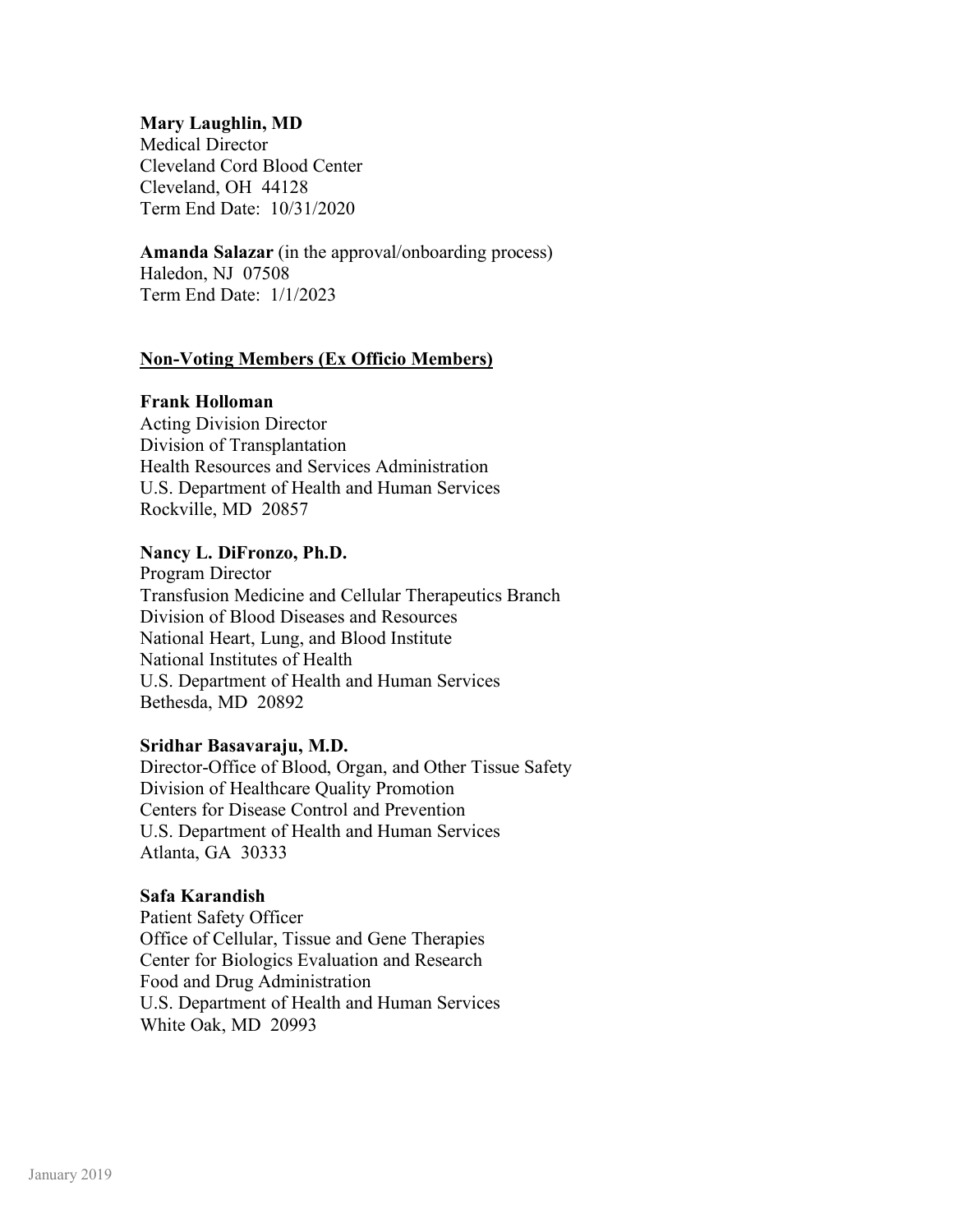### **Mary Laughlin, MD**

Medical Director Cleveland Cord Blood Center Cleveland, OH 44128 Term End Date: 10/31/2020

#### **Amanda Salazar** (in the approval/onboarding process) Haledon, NJ 07508

Term End Date: 1/1/2023

## **Non-Voting Members (Ex Officio Members)**

### **Frank Holloman**

Acting Division Director Division of Transplantation Health Resources and Services Administration U.S. Department of Health and Human Services Rockville, MD 20857

### **Nancy L. DiFronzo, Ph.D.**

Program Director Transfusion Medicine and Cellular Therapeutics Branch Division of Blood Diseases and Resources National Heart, Lung, and Blood Institute National Institutes of Health U.S. Department of Health and Human Services Bethesda, MD 20892

### **Sridhar Basavaraju, M.D.**

Director-Office of Blood, Organ, and Other Tissue Safety Division of Healthcare Quality Promotion Centers for Disease Control and Prevention U.S. Department of Health and Human Services Atlanta, GA 30333

#### **Safa Karandish**

Patient Safety Officer Office of Cellular, Tissue and Gene Therapies Center for Biologics Evaluation and Research Food and Drug Administration U.S. Department of Health and Human Services White Oak, MD 20993